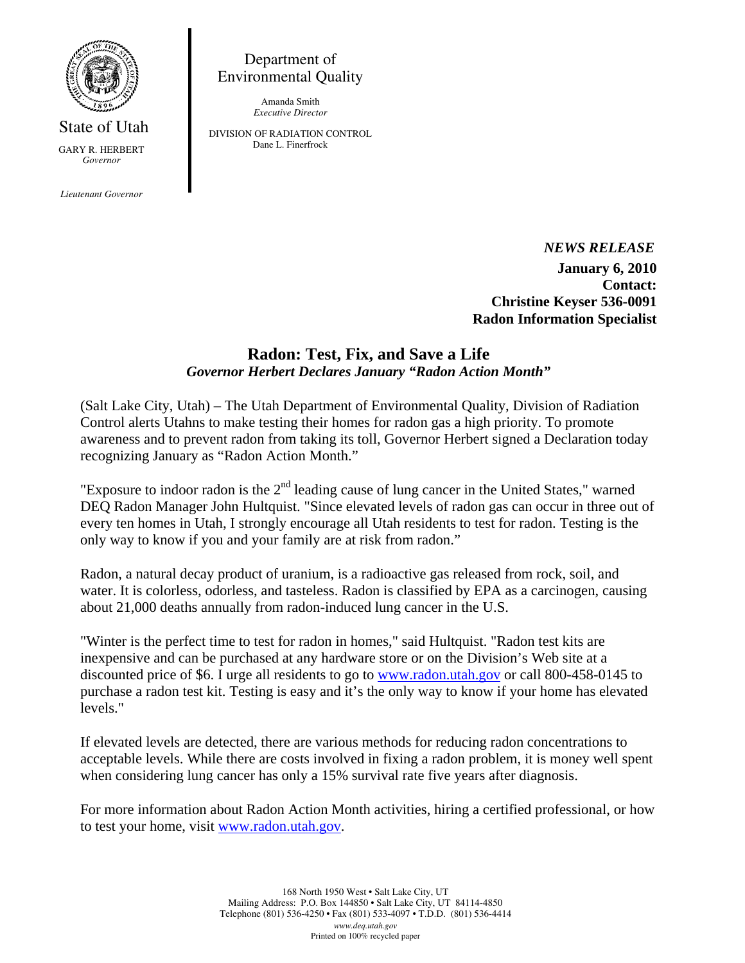

State of Utah GARY R. HERBERT *Governor* 

*Lieutenant Governor* 

Department of Environmental Quality

> Amanda Smith *Executive Director*

DIVISION OF RADIATION CONTROL Dane L. Finerfrock

> *NEWS RELEASE*  **January 6, 2010 Contact: Christine Keyser 536-0091 Radon Information Specialist**

## **Radon: Test, Fix, and Save a Life**  *Governor Herbert Declares January "Radon Action Month"*

(Salt Lake City, Utah) – The Utah Department of Environmental Quality, Division of Radiation Control alerts Utahns to make testing their homes for radon gas a high priority. To promote awareness and to prevent radon from taking its toll, Governor Herbert signed a Declaration today recognizing January as "Radon Action Month."

"Exposure to indoor radon is the  $2<sup>nd</sup>$  leading cause of lung cancer in the United States," warned DEQ Radon Manager John Hultquist. "Since elevated levels of radon gas can occur in three out of every ten homes in Utah, I strongly encourage all Utah residents to test for radon. Testing is the only way to know if you and your family are at risk from radon."

Radon, a natural decay product of uranium, is a radioactive gas released from rock, soil, and water. It is colorless, odorless, and tasteless. Radon is classified by EPA as a carcinogen, causing about 21,000 deaths annually from radon-induced lung cancer in the U.S.

"Winter is the perfect time to test for radon in homes," said Hultquist. "Radon test kits are inexpensive and can be purchased at any hardware store or on the Division's Web site at a discounted price of \$6. I urge all residents to go to www.radon.utah.gov or call 800-458-0145 to purchase a radon test kit. Testing is easy and it's the only way to know if your home has elevated levels."

If elevated levels are detected, there are various methods for reducing radon concentrations to acceptable levels. While there are costs involved in fixing a radon problem, it is money well spent when considering lung cancer has only a 15% survival rate five years after diagnosis.

For more information about Radon Action Month activities, hiring a certified professional, or how to test your home, visit www.radon.utah.gov.